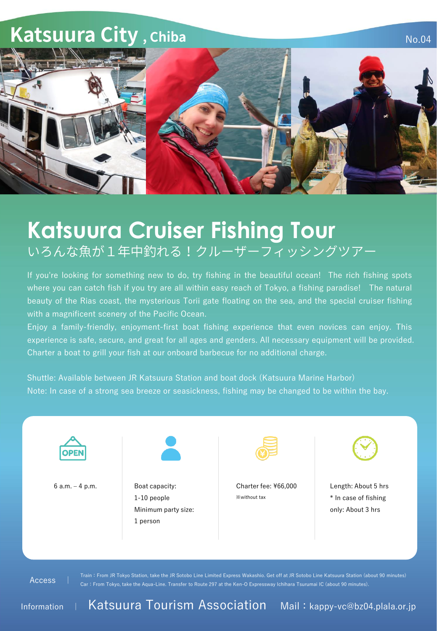## **Katsuura City, Chiba**



No.04

## **Katsuura Cruiser Fishing Tour** いろんな魚が1年中釣れる!クルーザーフィッシングツアー

If you're looking for something new to do, try fishing in the beautiful ocean! The rich fishing spots where you can catch fish if you try are all within easy reach of Tokyo, a fishing paradise! The natural beauty of the Rias coast, the mysterious Torii gate floating on the sea, and the special cruiser fishing with a magnificent scenery of the Pacific Ocean.

Enjoy a family-friendly, enjoyment-first boat fishing experience that even novices can enjoy. This experience is safe, secure, and great for all ages and genders. All necessary equipment will be provided. Charter a boat to grill your fish at our onboard barbecue for no additional charge.

Shuttle: Available between JR Katsuura Station and boat dock (Katsuura Marine Harbor) Note: In case of a strong sea breeze or seasickness, fishing may be changed to be within the bay.



Access |

Car:From Tokyo, take the Aqua-Line. Transfer to Route 297 at the Ken-O Expressway Ichihara Tsurumai IC (about 90 minutes).

Information <sup>|</sup> Katsuura Tourism Association Mail:kappy-vc@bz04.plala.or.jp